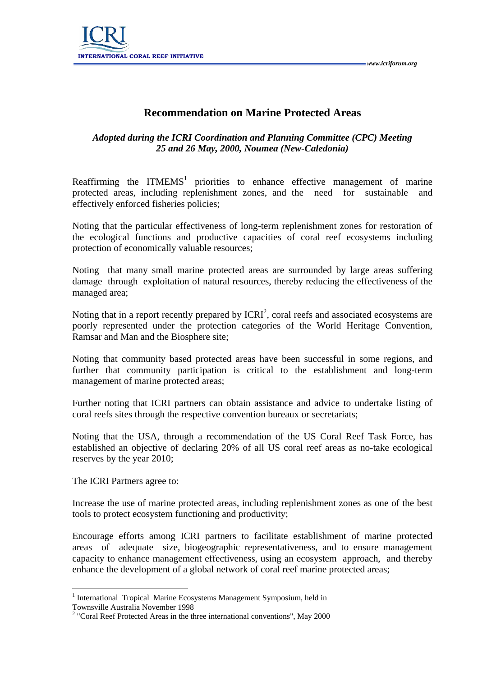

## **Recommendation on Marine Protected Areas**

## *Adopted during the ICRI Coordination and Planning Committee (CPC) Meeting 25 and 26 May, 2000, Noumea (New-Caledonia)*

Reaffirming the ITMEMS<sup>1</sup> priorities to enhance effective management of marine protected areas, including replenishment zones, and the need for sustainable and effectively enforced fisheries policies;

Noting that the particular effectiveness of long-term replenishment zones for restoration of the ecological functions and productive capacities of coral reef ecosystems including protection of economically valuable resources;

Noting that many small marine protected areas are surrounded by large areas suffering damage through exploitation of natural resources, thereby reducing the effectiveness of the managed area;

Noting that in a report recently prepared by  $\text{ICRI}^2$ , coral reefs and associated ecosystems are poorly represented under the protection categories of the World Heritage Convention, Ramsar and Man and the Biosphere site;

Noting that community based protected areas have been successful in some regions, and further that community participation is critical to the establishment and long-term management of marine protected areas;

Further noting that ICRI partners can obtain assistance and advice to undertake listing of coral reefs sites through the respective convention bureaux or secretariats;

Noting that the USA, through a recommendation of the US Coral Reef Task Force, has established an objective of declaring 20% of all US coral reef areas as no-take ecological reserves by the year 2010;

The ICRI Partners agree to:

Increase the use of marine protected areas, including replenishment zones as one of the best tools to protect ecosystem functioning and productivity;

Encourage efforts among ICRI partners to facilitate establishment of marine protected areas of adequate size, biogeographic representativeness, and to ensure management capacity to enhance management effectiveness, using an ecosystem approach, and thereby enhance the development of a global network of coral reef marine protected areas;

 $\overline{a}$ 

<sup>&</sup>lt;sup>1</sup> International Tropical Marine Ecosystems Management Symposium, held in

Townsville Australia November 1998

 $2$  "Coral Reef Protected Areas in the three international conventions", May 2000